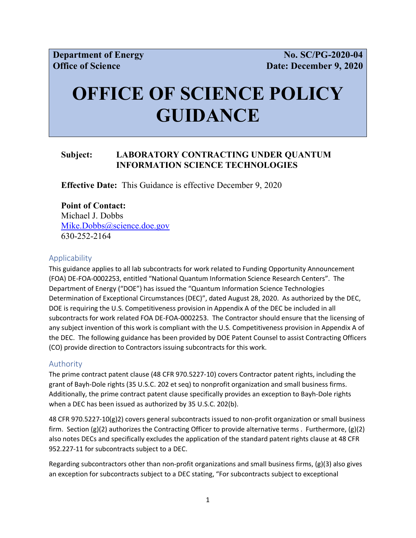# **OFFICE OF SCIENCE POLICY GUIDANCE**

## **Subject: LABORATORY CONTRACTING UNDER QUANTUM INFORMATION SCIENCE TECHNOLOGIES**

**Effective Date:** This Guidance is effective December 9, 2020

### **Point of Contact:**

Michael J. Dobbs [Mike.Dobbs@science.doe.gov](mailto:Mike.Dobbs@science.doe.gov) 630-252-2164

#### **Applicability**

This guidance applies to all lab subcontracts for work related to Funding Opportunity Announcement (FOA) DE-FOA-0002253, entitled "National Quantum Information Science Research Centers". The Department of Energy ("DOE") has issued the "Quantum Information Science Technologies Determination of Exceptional Circumstances (DEC)", dated August 28, 2020. As authorized by the DEC, DOE is requiring the U.S. Competitiveness provision in Appendix A of the DEC be included in all subcontracts for work related FOA DE-FOA-0002253. The Contractor should ensure that the licensing of any subject invention of this work is compliant with the U.S. Competitiveness provision in Appendix A of the DEC. The following guidance has been provided by DOE Patent Counsel to assist Contracting Officers (CO) provide direction to Contractors issuing subcontracts for this work.

#### Authority

The prime contract patent clause (48 CFR 970.5227-10) covers Contractor patent rights, including the grant of Bayh-Dole rights (35 U.S.C. 202 et seq) to nonprofit organization and small business firms. Additionally, the prime contract patent clause specifically provides an exception to Bayh-Dole rights when a DEC has been issued as authorized by 35 U.S.C. 202(b).

48 CFR 970.5227-10(g)2) covers general subcontracts issued to non-profit organization or small business firm. Section (g)(2) authorizes the Contracting Officer to provide alternative terms . Furthermore, (g)(2) also notes DECs and specifically excludes the application of the standard patent rights clause at 48 CFR 952.227-11 for subcontracts subject to a DEC.

Regarding subcontractors other than non-profit organizations and small business firms, (g)(3) also gives an exception for subcontracts subject to a DEC stating, "For subcontracts subject to exceptional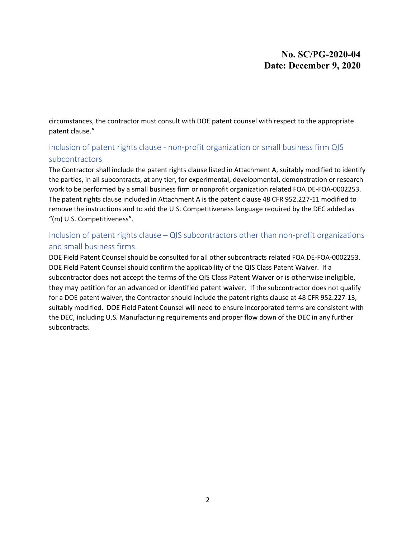# **No. SC/PG-2020-04 Date: December 9, 2020**

circumstances, the contractor must consult with DOE patent counsel with respect to the appropriate patent clause."

# Inclusion of patent rights clause - non-profit organization or small business firm QIS subcontractors

The Contractor shall include the patent rights clause listed in Attachment A, suitably modified to identify the parties, in all subcontracts, at any tier, for experimental, developmental, demonstration or research work to be performed by a small business firm or nonprofit organization related FOA DE-FOA-0002253. The patent rights clause included in Attachment A is the patent clause 48 CFR 952.227-11 modified to remove the instructions and to add the U.S. Competitiveness language required by the DEC added as "(m) U.S. Competitiveness".

# Inclusion of patent rights clause – QIS subcontractors other than non-profit organizations and small business firms.

DOE Field Patent Counsel should be consulted for all other subcontracts related FOA DE-FOA-0002253. DOE Field Patent Counsel should confirm the applicability of the QIS Class Patent Waiver. If a subcontractor does not accept the terms of the QIS Class Patent Waiver or is otherwise ineligible, they may petition for an advanced or identified patent waiver. If the subcontractor does not qualify for a DOE patent waiver, the Contractor should include the patent rights clause at 48 CFR 952.227-13, suitably modified. DOE Field Patent Counsel will need to ensure incorporated terms are consistent with the DEC, including U.S. Manufacturing requirements and proper flow down of the DEC in any further subcontracts.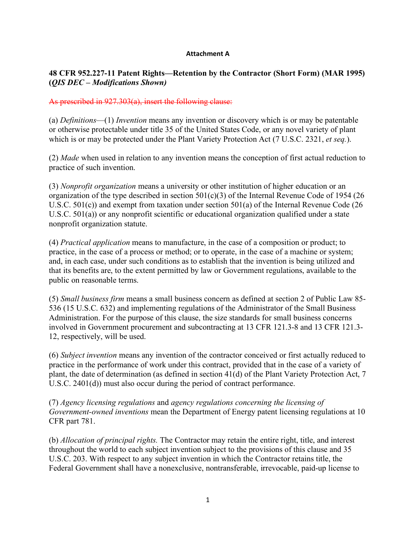#### **Attachment A**

## **48 CFR 952.227-11 Patent Rights—Retention by the Contractor (Short Form) (MAR 1995) (***QIS DEC – Modifications Shown)*

#### As prescribed in 927.303(a), insert the following clause:

(a) *Definitions*—(1) *Invention* means any invention or discovery which is or may be patentable or otherwise protectable under title 35 of the United States Code, or any novel variety of plant which is or may be protected under the Plant Variety Protection Act (7 U.S.C. 2321, *et seq.*).

(2) *Made* when used in relation to any invention means the conception of first actual reduction to practice of such invention.

(3) *Nonprofit organization* means a university or other institution of higher education or an organization of the type described in section 501(c)(3) of the Internal Revenue Code of 1954 (26 U.S.C. 501(c)) and exempt from taxation under section 501(a) of the Internal Revenue Code (26 U.S.C. 501(a)) or any nonprofit scientific or educational organization qualified under a state nonprofit organization statute.

(4) *Practical application* means to manufacture, in the case of a composition or product; to practice, in the case of a process or method; or to operate, in the case of a machine or system; and, in each case, under such conditions as to establish that the invention is being utilized and that its benefits are, to the extent permitted by law or Government regulations, available to the public on reasonable terms.

(5) *Small business firm* means a small business concern as defined at section 2 of Public Law 85- 536 (15 U.S.C. 632) and implementing regulations of the Administrator of the Small Business Administration. For the purpose of this clause, the size standards for small business concerns involved in Government procurement and subcontracting at 13 CFR 121.3-8 and 13 CFR 121.3- 12, respectively, will be used.

(6) *Subject invention* means any invention of the contractor conceived or first actually reduced to practice in the performance of work under this contract, provided that in the case of a variety of plant, the date of determination (as defined in section 41(d) of the Plant Variety Protection Act, 7 U.S.C. 2401(d)) must also occur during the period of contract performance.

(7) *Agency licensing regulations* and *agency regulations concerning the licensing of Government-owned inventions* mean the Department of Energy patent licensing regulations at 10 CFR part 781.

(b) *Allocation of principal rights.* The Contractor may retain the entire right, title, and interest throughout the world to each subject invention subject to the provisions of this clause and 35 U.S.C. 203. With respect to any subject invention in which the Contractor retains title, the Federal Government shall have a nonexclusive, nontransferable, irrevocable, paid-up license to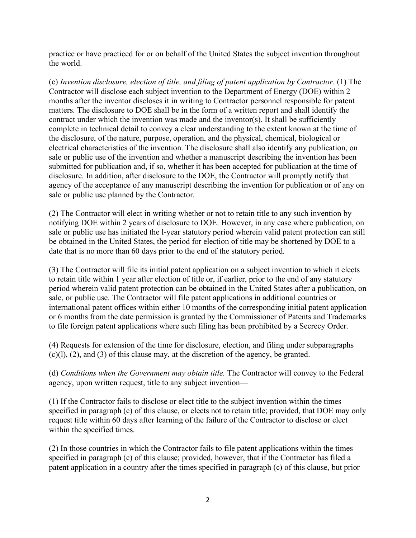practice or have practiced for or on behalf of the United States the subject invention throughout the world.

(c) *Invention disclosure, election of title, and filing of patent application by Contractor.* (1) The Contractor will disclose each subject invention to the Department of Energy (DOE) within 2 months after the inventor discloses it in writing to Contractor personnel responsible for patent matters. The disclosure to DOE shall be in the form of a written report and shall identify the contract under which the invention was made and the inventor(s). It shall be sufficiently complete in technical detail to convey a clear understanding to the extent known at the time of the disclosure, of the nature, purpose, operation, and the physical, chemical, biological or electrical characteristics of the invention. The disclosure shall also identify any publication, on sale or public use of the invention and whether a manuscript describing the invention has been submitted for publication and, if so, whether it has been accepted for publication at the time of disclosure. In addition, after disclosure to the DOE, the Contractor will promptly notify that agency of the acceptance of any manuscript describing the invention for publication or of any on sale or public use planned by the Contractor.

(2) The Contractor will elect in writing whether or not to retain title to any such invention by notifying DOE within 2 years of disclosure to DOE. However, in any case where publication, on sale or public use has initiated the l-year statutory period wherein valid patent protection can still be obtained in the United States, the period for election of title may be shortened by DOE to a date that is no more than 60 days prior to the end of the statutory period.

(3) The Contractor will file its initial patent application on a subject invention to which it elects to retain title within 1 year after election of title or, if earlier, prior to the end of any statutory period wherein valid patent protection can be obtained in the United States after a publication, on sale, or public use. The Contractor will file patent applications in additional countries or international patent offices within either 10 months of the corresponding initial patent application or 6 months from the date permission is granted by the Commissioner of Patents and Trademarks to file foreign patent applications where such filing has been prohibited by a Secrecy Order.

(4) Requests for extension of the time for disclosure, election, and filing under subparagraphs (c)(l), (2), and (3) of this clause may, at the discretion of the agency, be granted.

(d) *Conditions when the Government may obtain title.* The Contractor will convey to the Federal agency, upon written request, title to any subject invention—

(1) If the Contractor fails to disclose or elect title to the subject invention within the times specified in paragraph (c) of this clause, or elects not to retain title; provided, that DOE may only request title within 60 days after learning of the failure of the Contractor to disclose or elect within the specified times.

(2) In those countries in which the Contractor fails to file patent applications within the times specified in paragraph (c) of this clause; provided, however, that if the Contractor has filed a patent application in a country after the times specified in paragraph (c) of this clause, but prior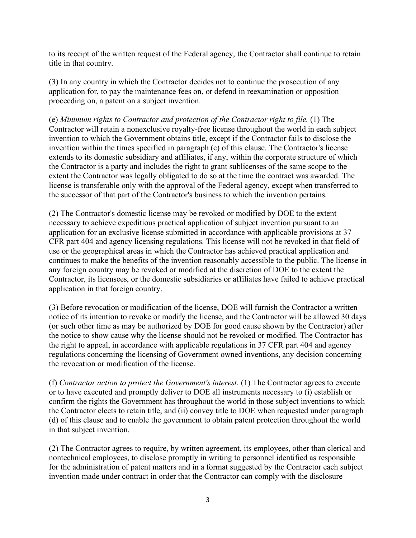to its receipt of the written request of the Federal agency, the Contractor shall continue to retain title in that country.

(3) In any country in which the Contractor decides not to continue the prosecution of any application for, to pay the maintenance fees on, or defend in reexamination or opposition proceeding on, a patent on a subject invention.

(e) *Minimum rights to Contractor and protection of the Contractor right to file.* (1) The Contractor will retain a nonexclusive royalty-free license throughout the world in each subject invention to which the Government obtains title, except if the Contractor fails to disclose the invention within the times specified in paragraph (c) of this clause. The Contractor's license extends to its domestic subsidiary and affiliates, if any, within the corporate structure of which the Contractor is a party and includes the right to grant sublicenses of the same scope to the extent the Contractor was legally obligated to do so at the time the contract was awarded. The license is transferable only with the approval of the Federal agency, except when transferred to the successor of that part of the Contractor's business to which the invention pertains.

(2) The Contractor's domestic license may be revoked or modified by DOE to the extent necessary to achieve expeditious practical application of subject invention pursuant to an application for an exclusive license submitted in accordance with applicable provisions at 37 CFR part 404 and agency licensing regulations. This license will not be revoked in that field of use or the geographical areas in which the Contractor has achieved practical application and continues to make the benefits of the invention reasonably accessible to the public. The license in any foreign country may be revoked or modified at the discretion of DOE to the extent the Contractor, its licensees, or the domestic subsidiaries or affiliates have failed to achieve practical application in that foreign country.

(3) Before revocation or modification of the license, DOE will furnish the Contractor a written notice of its intention to revoke or modify the license, and the Contractor will be allowed 30 days (or such other time as may be authorized by DOE for good cause shown by the Contractor) after the notice to show cause why the license should not be revoked or modified. The Contractor has the right to appeal, in accordance with applicable regulations in 37 CFR part 404 and agency regulations concerning the licensing of Government owned inventions, any decision concerning the revocation or modification of the license.

(f) *Contractor action to protect the Government's interest.* (1) The Contractor agrees to execute or to have executed and promptly deliver to DOE all instruments necessary to (i) establish or confirm the rights the Government has throughout the world in those subject inventions to which the Contractor elects to retain title, and (ii) convey title to DOE when requested under paragraph (d) of this clause and to enable the government to obtain patent protection throughout the world in that subject invention.

(2) The Contractor agrees to require, by written agreement, its employees, other than clerical and nontechnical employees, to disclose promptly in writing to personnel identified as responsible for the administration of patent matters and in a format suggested by the Contractor each subject invention made under contract in order that the Contractor can comply with the disclosure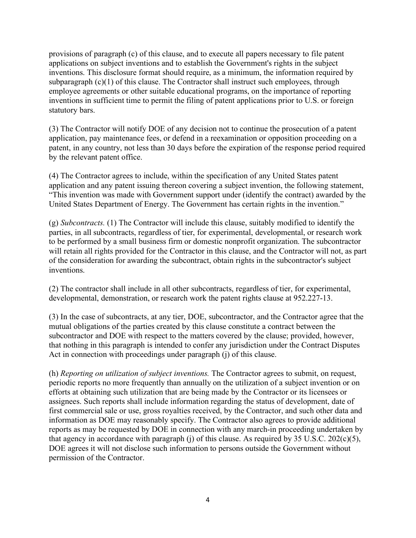provisions of paragraph (c) of this clause, and to execute all papers necessary to file patent applications on subject inventions and to establish the Government's rights in the subject inventions. This disclosure format should require, as a minimum, the information required by subparagraph (c)(1) of this clause. The Contractor shall instruct such employees, through employee agreements or other suitable educational programs, on the importance of reporting inventions in sufficient time to permit the filing of patent applications prior to U.S. or foreign statutory bars.

(3) The Contractor will notify DOE of any decision not to continue the prosecution of a patent application, pay maintenance fees, or defend in a reexamination or opposition proceeding on a patent, in any country, not less than 30 days before the expiration of the response period required by the relevant patent office.

(4) The Contractor agrees to include, within the specification of any United States patent application and any patent issuing thereon covering a subject invention, the following statement, "This invention was made with Government support under (identify the contract) awarded by the United States Department of Energy. The Government has certain rights in the invention."

(g) *Subcontracts.* (1) The Contractor will include this clause, suitably modified to identify the parties, in all subcontracts, regardless of tier, for experimental, developmental, or research work to be performed by a small business firm or domestic nonprofit organization. The subcontractor will retain all rights provided for the Contractor in this clause, and the Contractor will not, as part of the consideration for awarding the subcontract, obtain rights in the subcontractor's subject inventions.

(2) The contractor shall include in all other subcontracts, regardless of tier, for experimental, developmental, demonstration, or research work the patent rights clause at 952.227-13.

(3) In the case of subcontracts, at any tier, DOE, subcontractor, and the Contractor agree that the mutual obligations of the parties created by this clause constitute a contract between the subcontractor and DOE with respect to the matters covered by the clause; provided, however, that nothing in this paragraph is intended to confer any jurisdiction under the Contract Disputes Act in connection with proceedings under paragraph (j) of this clause.

(h) *Reporting on utilization of subject inventions.* The Contractor agrees to submit, on request, periodic reports no more frequently than annually on the utilization of a subject invention or on efforts at obtaining such utilization that are being made by the Contractor or its licensees or assignees. Such reports shall include information regarding the status of development, date of first commercial sale or use, gross royalties received, by the Contractor, and such other data and information as DOE may reasonably specify. The Contractor also agrees to provide additional reports as may be requested by DOE in connection with any march-in proceeding undertaken by that agency in accordance with paragraph (j) of this clause. As required by  $35 \text{ U.S.C. } 202(\text{c})(5)$ , DOE agrees it will not disclose such information to persons outside the Government without permission of the Contractor.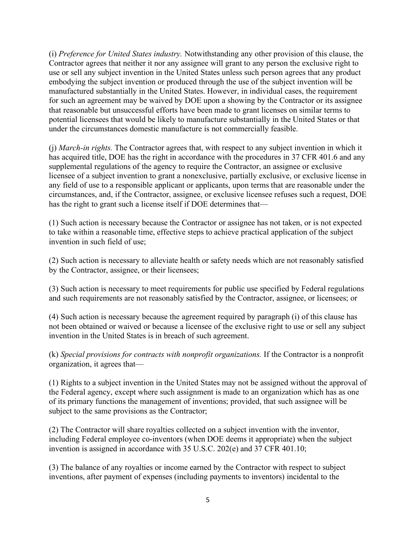(i) *Preference for United States industry.* Notwithstanding any other provision of this clause, the Contractor agrees that neither it nor any assignee will grant to any person the exclusive right to use or sell any subject invention in the United States unless such person agrees that any product embodying the subject invention or produced through the use of the subject invention will be manufactured substantially in the United States. However, in individual cases, the requirement for such an agreement may be waived by DOE upon a showing by the Contractor or its assignee that reasonable but unsuccessful efforts have been made to grant licenses on similar terms to potential licensees that would be likely to manufacture substantially in the United States or that under the circumstances domestic manufacture is not commercially feasible.

(j) *March-in rights.* The Contractor agrees that, with respect to any subject invention in which it has acquired title, DOE has the right in accordance with the procedures in 37 CFR 401.6 and any supplemental regulations of the agency to require the Contractor, an assignee or exclusive licensee of a subject invention to grant a nonexclusive, partially exclusive, or exclusive license in any field of use to a responsible applicant or applicants, upon terms that are reasonable under the circumstances, and, if the Contractor, assignee, or exclusive licensee refuses such a request, DOE has the right to grant such a license itself if DOE determines that—

(1) Such action is necessary because the Contractor or assignee has not taken, or is not expected to take within a reasonable time, effective steps to achieve practical application of the subject invention in such field of use;

(2) Such action is necessary to alleviate health or safety needs which are not reasonably satisfied by the Contractor, assignee, or their licensees;

(3) Such action is necessary to meet requirements for public use specified by Federal regulations and such requirements are not reasonably satisfied by the Contractor, assignee, or licensees; or

(4) Such action is necessary because the agreement required by paragraph (i) of this clause has not been obtained or waived or because a licensee of the exclusive right to use or sell any subject invention in the United States is in breach of such agreement.

(k) *Special provisions for contracts with nonprofit organizations.* If the Contractor is a nonprofit organization, it agrees that—

(1) Rights to a subject invention in the United States may not be assigned without the approval of the Federal agency, except where such assignment is made to an organization which has as one of its primary functions the management of inventions; provided, that such assignee will be subject to the same provisions as the Contractor;

(2) The Contractor will share royalties collected on a subject invention with the inventor, including Federal employee co-inventors (when DOE deems it appropriate) when the subject invention is assigned in accordance with 35 U.S.C. 202(e) and 37 CFR 401.10;

(3) The balance of any royalties or income earned by the Contractor with respect to subject inventions, after payment of expenses (including payments to inventors) incidental to the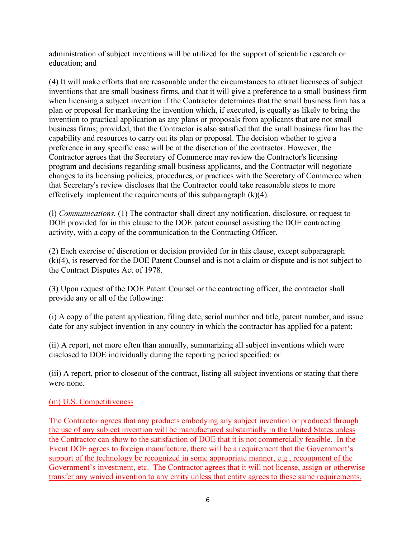administration of subject inventions will be utilized for the support of scientific research or education; and

(4) It will make efforts that are reasonable under the circumstances to attract licensees of subject inventions that are small business firms, and that it will give a preference to a small business firm when licensing a subject invention if the Contractor determines that the small business firm has a plan or proposal for marketing the invention which, if executed, is equally as likely to bring the invention to practical application as any plans or proposals from applicants that are not small business firms; provided, that the Contractor is also satisfied that the small business firm has the capability and resources to carry out its plan or proposal. The decision whether to give a preference in any specific case will be at the discretion of the contractor. However, the Contractor agrees that the Secretary of Commerce may review the Contractor's licensing program and decisions regarding small business applicants, and the Contractor will negotiate changes to its licensing policies, procedures, or practices with the Secretary of Commerce when that Secretary's review discloses that the Contractor could take reasonable steps to more effectively implement the requirements of this subparagraph  $(k)(4)$ .

(l) *Communications.* (1) The contractor shall direct any notification, disclosure, or request to DOE provided for in this clause to the DOE patent counsel assisting the DOE contracting activity, with a copy of the communication to the Contracting Officer.

(2) Each exercise of discretion or decision provided for in this clause, except subparagraph (k)(4), is reserved for the DOE Patent Counsel and is not a claim or dispute and is not subject to the Contract Disputes Act of 1978.

(3) Upon request of the DOE Patent Counsel or the contracting officer, the contractor shall provide any or all of the following:

(i) A copy of the patent application, filing date, serial number and title, patent number, and issue date for any subject invention in any country in which the contractor has applied for a patent;

(ii) A report, not more often than annually, summarizing all subject inventions which were disclosed to DOE individually during the reporting period specified; or

(iii) A report, prior to closeout of the contract, listing all subject inventions or stating that there were none.

## (m) U.S. Competitiveness

The Contractor agrees that any products embodying any subject invention or produced through the use of any subject invention will be manufactured substantially in the United States unless the Contractor can show to the satisfaction of DOE that it is not commercially feasible. In the Event DOE agrees to foreign manufacture, there will be a requirement that the Government's support of the technology be recognized in some appropriate manner, e.g., recoupment of the Government's investment, etc. The Contractor agrees that it will not license, assign or otherwise transfer any waived invention to any entity unless that entity agrees to these same requirements.